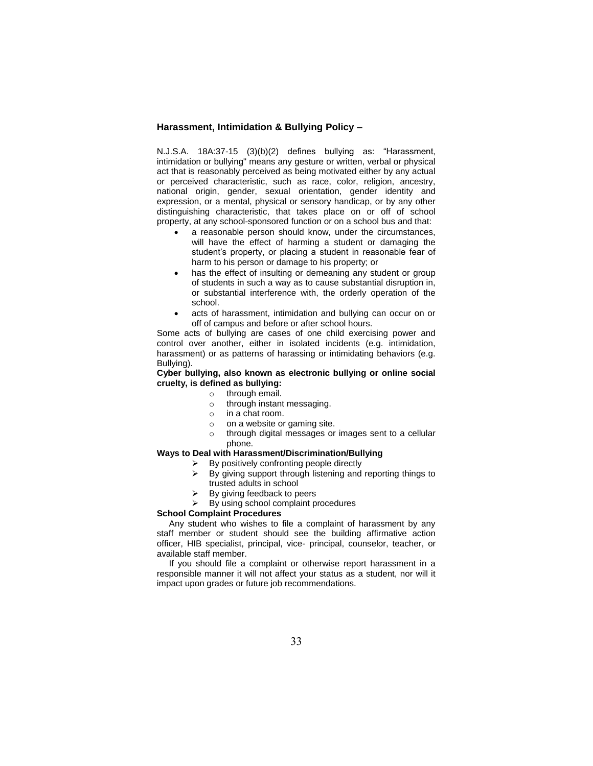# **Harassment, Intimidation & Bullying Policy –**

N.J.S.A. 18A:37-15 (3)(b)(2) defines bullying as: "Harassment, intimidation or bullying" means any gesture or written, verbal or physical act that is reasonably perceived as being motivated either by any actual or perceived characteristic, such as race, color, religion, ancestry, national origin, gender, sexual orientation, gender identity and expression, or a mental, physical or sensory handicap, or by any other distinguishing characteristic, that takes place on or off of school property, at any school-sponsored function or on a school bus and that:

- a reasonable person should know, under the circumstances, will have the effect of harming a student or damaging the student's property, or placing a student in reasonable fear of harm to his person or damage to his property; or
- has the effect of insulting or demeaning any student or group of students in such a way as to cause substantial disruption in, or substantial interference with, the orderly operation of the school.
- acts of harassment, intimidation and bullying can occur on or off of campus and before or after school hours.

Some acts of bullying are cases of one child exercising power and control over another, either in isolated incidents (e.g. intimidation, harassment) or as patterns of harassing or intimidating behaviors (e.g. Bullying).

### **Cyber bullying, also known as electronic bullying or online social cruelty, is defined as bullying:**

- o through email.
	- o through instant messaging.
	- o in a chat room.
	- o on a website or gaming site.
	- o through digital messages or images sent to a cellular phone.

# **Ways to Deal with Harassment/Discrimination/Bullying**

- $\triangleright$  By positively confronting people directly  $\triangleright$  By giving support through listening and
- By giving support through listening and reporting things to trusted adults in school
- By giving feedback to peers
- $\triangleright$  By using school complaint procedures

#### **School Complaint Procedures**

 Any student who wishes to file a complaint of harassment by any staff member or student should see the building affirmative action officer, HIB specialist, principal, vice- principal, counselor, teacher, or available staff member.

 If you should file a complaint or otherwise report harassment in a responsible manner it will not affect your status as a student, nor will it impact upon grades or future job recommendations.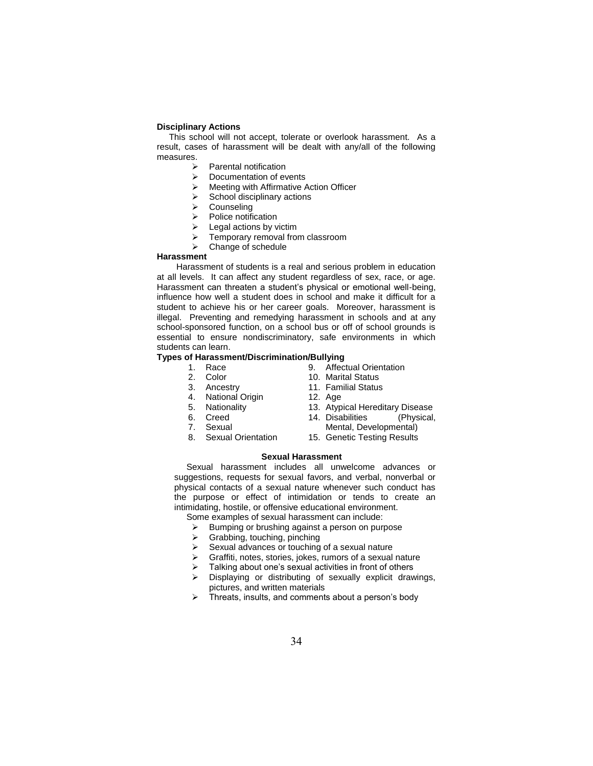### **Disciplinary Actions**

 This school will not accept, tolerate or overlook harassment. As a result, cases of harassment will be dealt with any/all of the following measures.

- $\triangleright$  Parental notification
- $\triangleright$  Documentation of events
- Meeting with Affirmative Action Officer
- $\triangleright$  School disciplinary actions
- Counseling
- $\triangleright$  Police notification
- $\triangleright$  Legal actions by victim
- $\triangleright$  Temporary removal from classroom
- $\triangleright$  Change of schedule

# **Harassment**

 Harassment of students is a real and serious problem in education at all levels. It can affect any student regardless of sex, race, or age. Harassment can threaten a student's physical or emotional well-being, influence how well a student does in school and make it difficult for a student to achieve his or her career goals. Moreover, harassment is illegal. Preventing and remedying harassment in schools and at any school-sponsored function, on a school bus or off of school grounds is essential to ensure nondiscriminatory, safe environments in which students can learn.

### **Types of Harassment/Discrimination/Bullying**

- 1. Race<br>2. Color
- **Color**
- 3. Ancestry
- 4. National Origin
- 5. Nationality
- 6. Creed
- 7. Sexual
- 8. Sexual Orientation
- 9. Affectual Orientation
- 10. Marital Status
- 11. Familial Status
- 12. Age
- 13. Atypical Hereditary Disease
- 14. Disabilities (Physical,
- Mental, Developmental)
- 15. Genetic Testing Results

### **Sexual Harassment**

Sexual harassment includes all unwelcome advances or suggestions, requests for sexual favors, and verbal, nonverbal or physical contacts of a sexual nature whenever such conduct has the purpose or effect of intimidation or tends to create an intimidating, hostile, or offensive educational environment.

Some examples of sexual harassment can include:

- $\triangleright$  Bumping or brushing against a person on purpose  $\triangleright$  Grabbing, touching, pinching
- $\triangleright$  Grabbing, touching, pinching
- Sexual advances or touching of a sexual nature
- Graffiti, notes, stories, jokes, rumors of a sexual nature
- $\triangleright$  Talking about one's sexual activities in front of others
- $\triangleright$  Displaying or distributing of sexually explicit drawings, pictures, and written materials
- $\triangleright$  Threats, insults, and comments about a person's body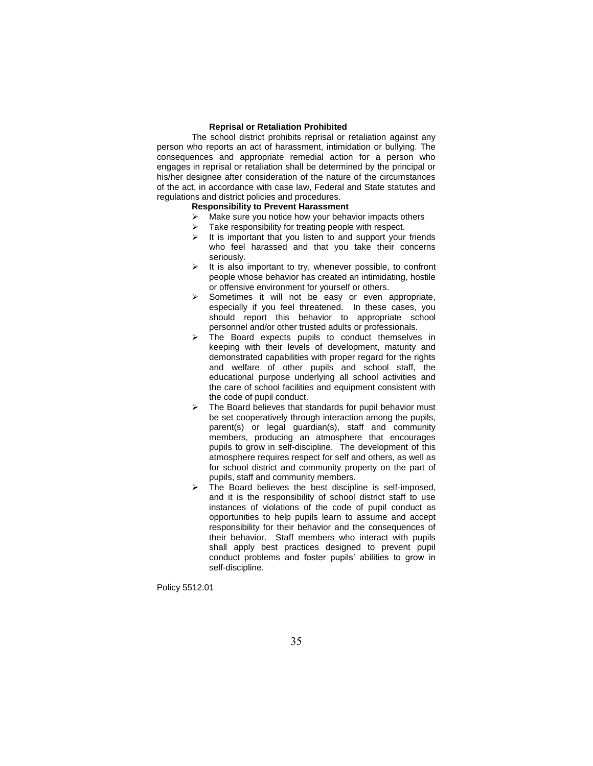### **Reprisal or Retaliation Prohibited**

The school district prohibits reprisal or retaliation against any person who reports an act of harassment, intimidation or bullying. The consequences and appropriate remedial action for a person who engages in reprisal or retaliation shall be determined by the principal or his/her designee after consideration of the nature of the circumstances of the act, in accordance with case law, Federal and State statutes and regulations and district policies and procedures.

#### **Responsibility to Prevent Harassment**

- $\triangleright$  Make sure you notice how your behavior impacts others
- $\triangleright$  Take responsibility for treating people with respect.
- $\triangleright$  It is important that you listen to and support your friends who feel harassed and that you take their concerns seriously.
- $\triangleright$  It is also important to try, whenever possible, to confront people whose behavior has created an intimidating, hostile or offensive environment for yourself or others.
- $\triangleright$  Sometimes it will not be easy or even appropriate, especially if you feel threatened. In these cases, you should report this behavior to appropriate school personnel and/or other trusted adults or professionals.
- The Board expects pupils to conduct themselves in keeping with their levels of development, maturity and demonstrated capabilities with proper regard for the rights and welfare of other pupils and school staff, the educational purpose underlying all school activities and the care of school facilities and equipment consistent with the code of pupil conduct.
- $\triangleright$  The Board believes that standards for pupil behavior must be set cooperatively through interaction among the pupils, parent(s) or legal guardian(s), staff and community members, producing an atmosphere that encourages pupils to grow in self-discipline. The development of this atmosphere requires respect for self and others, as well as for school district and community property on the part of pupils, staff and community members.
- $\triangleright$  The Board believes the best discipline is self-imposed, and it is the responsibility of school district staff to use instances of violations of the code of pupil conduct as opportunities to help pupils learn to assume and accept responsibility for their behavior and the consequences of their behavior. Staff members who interact with pupils shall apply best practices designed to prevent pupil conduct problems and foster pupils' abilities to grow in self-discipline.

Policy 5512.01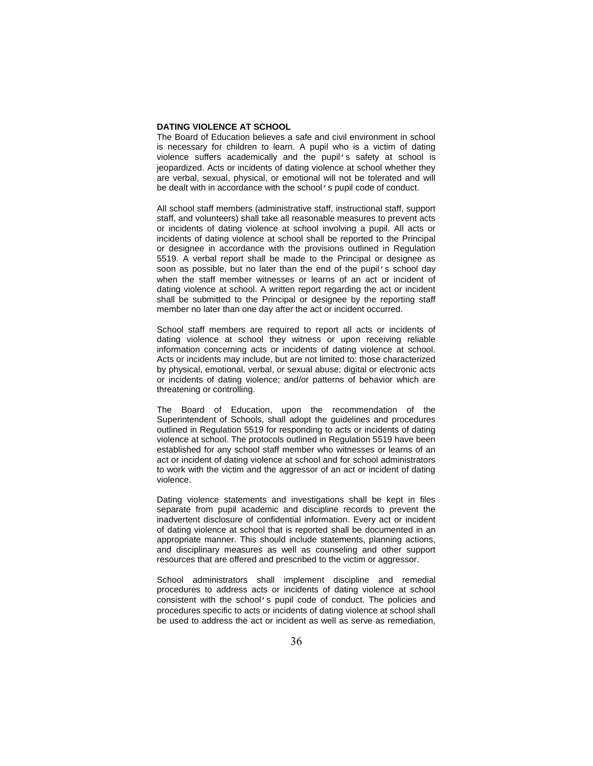### **DATING VIOLENCE AT SCHOOL**

The Board of Education believes a safe and civil environment in school is necessary for children to learn. A pupil who is a victim of dating violence suffers academically and the pupil's safety at school is jeopardized. Acts or incidents of dating violence at school whether they are verbal, sexual, physical, or emotional will not be tolerated and will be dealt with in accordance with the school's pupil code of conduct.

All school staff members (administrative staff, instructional staff, support staff, and volunteers) shall take all reasonable measures to prevent acts or incidents of dating violence at school involving a pupil. All acts or incidents of dating violence at school shall be reported to the Principal or designee in accordance with the provisions outlined in Regulation 5519. A verbal report shall be made to the Principal or designee as soon as possible, but no later than the end of the pupil's school day when the staff member witnesses or learns of an act or incident of dating violence at school. A written report regarding the act or incident shall be submitted to the Principal or designee by the reporting staff member no later than one day after the act or incident occurred.

School staff members are required to report all acts or incidents of dating violence at school they witness or upon receiving reliable information concerning acts or incidents of dating violence at school. Acts or incidents may include, but are not limited to: those characterized by physical, emotional, verbal, or sexual abuse; digital or electronic acts or incidents of dating violence; and/or patterns of behavior which are threatening or controlling.

The Board of Education, upon the recommendation of the Superintendent of Schools, shall adopt the guidelines and procedures outlined in Regulation 5519 for responding to acts or incidents of dating violence at school. The protocols outlined in Regulation 5519 have been established for any school staff member who witnesses or learns of an act or incident of dating violence at school and for school administrators to work with the victim and the aggressor of an act or incident of dating violence.

Dating violence statements and investigations shall be kept in files separate from pupil academic and discipline records to prevent the inadvertent disclosure of confidential information. Every act or incident of dating violence at school that is reported shall be documented in an appropriate manner. This should include statements, planning actions, and disciplinary measures as well as counseling and other support resources that are offered and prescribed to the victim or aggressor.

School administrators shall implement discipline and remedial procedures to address acts or incidents of dating violence at school consistent with the school's pupil code of conduct. The policies and procedures specific to acts or incidents of dating violence at school shall be used to address the act or incident as well as serve as remediation,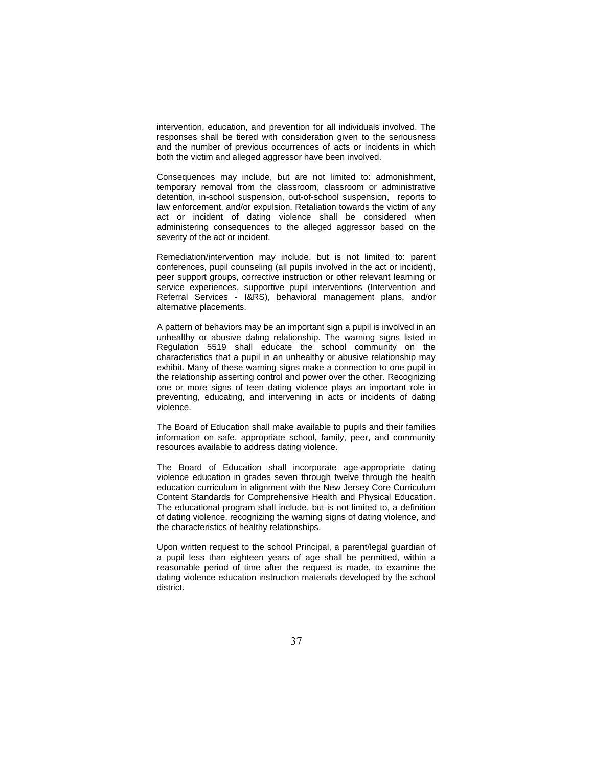intervention, education, and prevention for all individuals involved. The responses shall be tiered with consideration given to the seriousness and the number of previous occurrences of acts or incidents in which both the victim and alleged aggressor have been involved.

Consequences may include, but are not limited to: admonishment, temporary removal from the classroom, classroom or administrative detention, in-school suspension, out-of-school suspension, reports to law enforcement, and/or expulsion. Retaliation towards the victim of any act or incident of dating violence shall be considered when administering consequences to the alleged aggressor based on the severity of the act or incident.

Remediation/intervention may include, but is not limited to: parent conferences, pupil counseling (all pupils involved in the act or incident), peer support groups, corrective instruction or other relevant learning or service experiences, supportive pupil interventions (Intervention and Referral Services - I&RS), behavioral management plans, and/or alternative placements.

A pattern of behaviors may be an important sign a pupil is involved in an unhealthy or abusive dating relationship. The warning signs listed in Regulation 5519 shall educate the school community on the characteristics that a pupil in an unhealthy or abusive relationship may exhibit. Many of these warning signs make a connection to one pupil in the relationship asserting control and power over the other. Recognizing one or more signs of teen dating violence plays an important role in preventing, educating, and intervening in acts or incidents of dating violence.

The Board of Education shall make available to pupils and their families information on safe, appropriate school, family, peer, and community resources available to address dating violence.

The Board of Education shall incorporate age-appropriate dating violence education in grades seven through twelve through the health education curriculum in alignment with the New Jersey Core Curriculum Content Standards for Comprehensive Health and Physical Education. The educational program shall include, but is not limited to, a definition of dating violence, recognizing the warning signs of dating violence, and the characteristics of healthy relationships.

Upon written request to the school Principal, a parent/legal guardian of a pupil less than eighteen years of age shall be permitted, within a reasonable period of time after the request is made, to examine the dating violence education instruction materials developed by the school district.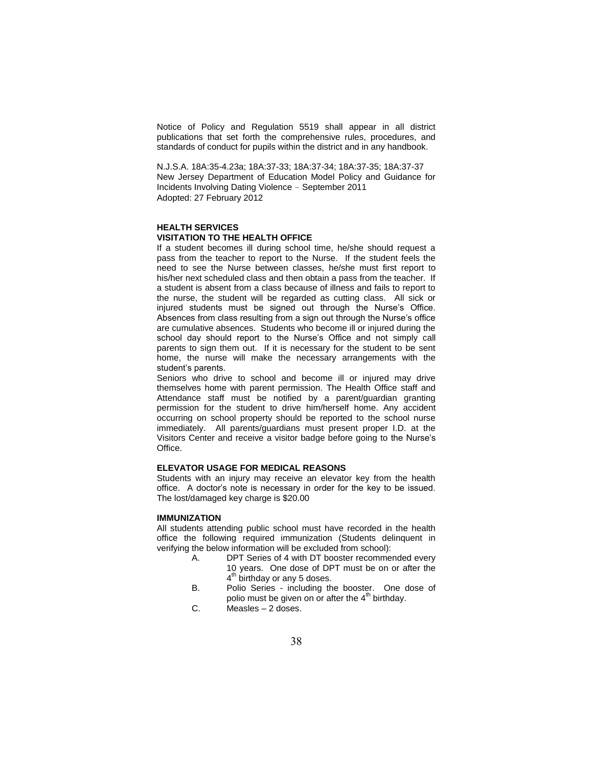Notice of Policy and Regulation 5519 shall appear in all district publications that set forth the comprehensive rules, procedures, and standards of conduct for pupils within the district and in any handbook.

N.J.S.A. 18A:35-4.23a; 18A:37-33; 18A:37-34; 18A:37-35; 18A:37-37 New Jersey Department of Education Model Policy and Guidance for Incidents Involving Dating Violence – September 2011 Adopted: 27 February 2012

# **HEALTH SERVICES VISITATION TO THE HEALTH OFFICE**

If a student becomes ill during school time, he/she should request a pass from the teacher to report to the Nurse. If the student feels the need to see the Nurse between classes, he/she must first report to his/her next scheduled class and then obtain a pass from the teacher. If a student is absent from a class because of illness and fails to report to the nurse, the student will be regarded as cutting class. All sick or injured students must be signed out through the Nurse's Office. Absences from class resulting from a sign out through the Nurse's office are cumulative absences. Students who become ill or injured during the school day should report to the Nurse's Office and not simply call parents to sign them out. If it is necessary for the student to be sent home, the nurse will make the necessary arrangements with the student's parents.

Seniors who drive to school and become ill or injured may drive themselves home with parent permission. The Health Office staff and Attendance staff must be notified by a parent/guardian granting permission for the student to drive him/herself home. Any accident occurring on school property should be reported to the school nurse immediately. All parents/guardians must present proper I.D. at the Visitors Center and receive a visitor badge before going to the Nurse's Office.

# **ELEVATOR USAGE FOR MEDICAL REASONS**

Students with an injury may receive an elevator key from the health office. A doctor's note is necessary in order for the key to be issued. The lost/damaged key charge is \$20.00

### **IMMUNIZATION**

All students attending public school must have recorded in the health office the following required immunization (Students delinquent in verifying the below information will be excluded from school):

- A. DPT Series of 4 with DT booster recommended every 10 years. One dose of DPT must be on or after the 4<sup>th</sup> birthday or any 5 doses.
- B. Polio Series including the booster. One dose of polio must be given on or after the  $4<sup>th</sup>$  birthday.
- C. Measles 2 doses.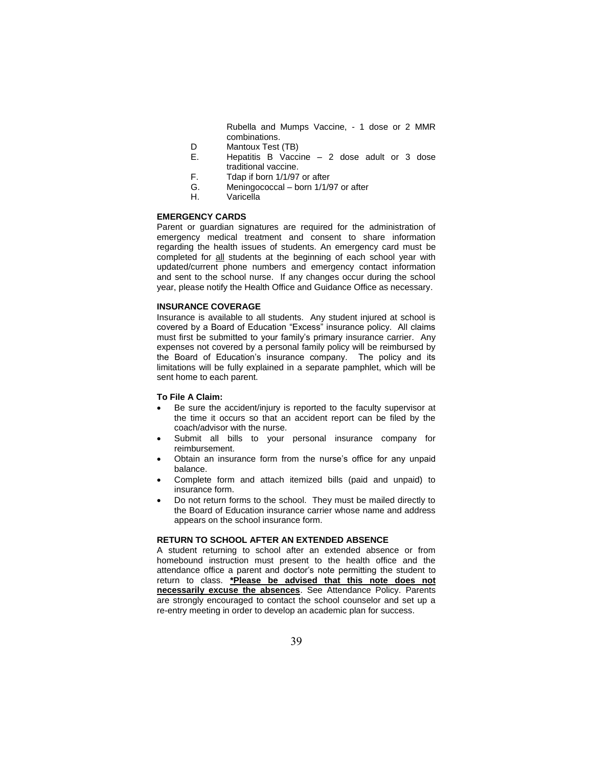Rubella and Mumps Vaccine, - 1 dose or 2 MMR combinations.

- D Mantoux Test (TB)<br>E. Hepatitis B Vacci
- Hepatitis B Vaccine 2 dose adult or 3 dose traditional vaccine.
- F. Tdap if born 1/1/97 or after
- G. Meningococcal born 1/1/97 or after
- H. Varicella

### **EMERGENCY CARDS**

Parent or guardian signatures are required for the administration of emergency medical treatment and consent to share information regarding the health issues of students. An emergency card must be completed for all students at the beginning of each school year with updated/current phone numbers and emergency contact information and sent to the school nurse. If any changes occur during the school year, please notify the Health Office and Guidance Office as necessary.

### **INSURANCE COVERAGE**

Insurance is available to all students. Any student injured at school is covered by a Board of Education "Excess" insurance policy. All claims must first be submitted to your family's primary insurance carrier. Any expenses not covered by a personal family policy will be reimbursed by the Board of Education's insurance company. The policy and its limitations will be fully explained in a separate pamphlet, which will be sent home to each parent.

### **To File A Claim:**

- Be sure the accident/injury is reported to the faculty supervisor at the time it occurs so that an accident report can be filed by the coach/advisor with the nurse.
- Submit all bills to your personal insurance company for reimbursement.
- Obtain an insurance form from the nurse's office for any unpaid balance.
- Complete form and attach itemized bills (paid and unpaid) to insurance form.
- Do not return forms to the school. They must be mailed directly to the Board of Education insurance carrier whose name and address appears on the school insurance form.

### **RETURN TO SCHOOL AFTER AN EXTENDED ABSENCE**

A student returning to school after an extended absence or from homebound instruction must present to the health office and the attendance office a parent and doctor's note permitting the student to return to class. **\*Please be advised that this note does not necessarily excuse the absences**. See Attendance Policy. Parents are strongly encouraged to contact the school counselor and set up a re-entry meeting in order to develop an academic plan for success.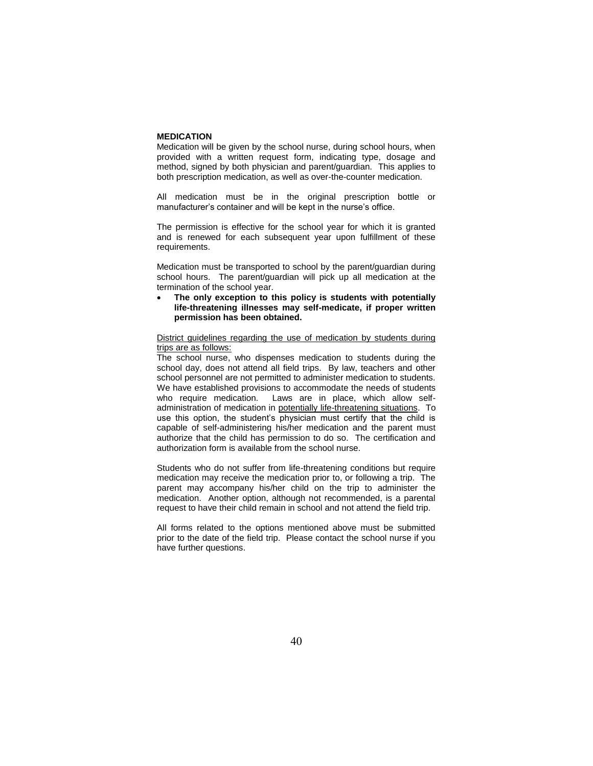### **MEDICATION**

Medication will be given by the school nurse, during school hours, when provided with a written request form, indicating type, dosage and method, signed by both physician and parent/guardian. This applies to both prescription medication, as well as over-the-counter medication.

All medication must be in the original prescription bottle or manufacturer's container and will be kept in the nurse's office.

The permission is effective for the school year for which it is granted and is renewed for each subsequent year upon fulfillment of these requirements.

Medication must be transported to school by the parent/guardian during school hours. The parent/guardian will pick up all medication at the termination of the school year.

 **The only exception to this policy is students with potentially life-threatening illnesses may self-medicate, if proper written permission has been obtained.** 

District guidelines regarding the use of medication by students during trips are as follows:

The school nurse, who dispenses medication to students during the school day, does not attend all field trips. By law, teachers and other school personnel are not permitted to administer medication to students. We have established provisions to accommodate the needs of students who require medication. Laws are in place, which allow selfadministration of medication in potentially life-threatening situations. To use this option, the student's physician must certify that the child is capable of self-administering his/her medication and the parent must authorize that the child has permission to do so. The certification and authorization form is available from the school nurse.

Students who do not suffer from life-threatening conditions but require medication may receive the medication prior to, or following a trip. The parent may accompany his/her child on the trip to administer the medication. Another option, although not recommended, is a parental request to have their child remain in school and not attend the field trip.

All forms related to the options mentioned above must be submitted prior to the date of the field trip. Please contact the school nurse if you have further questions.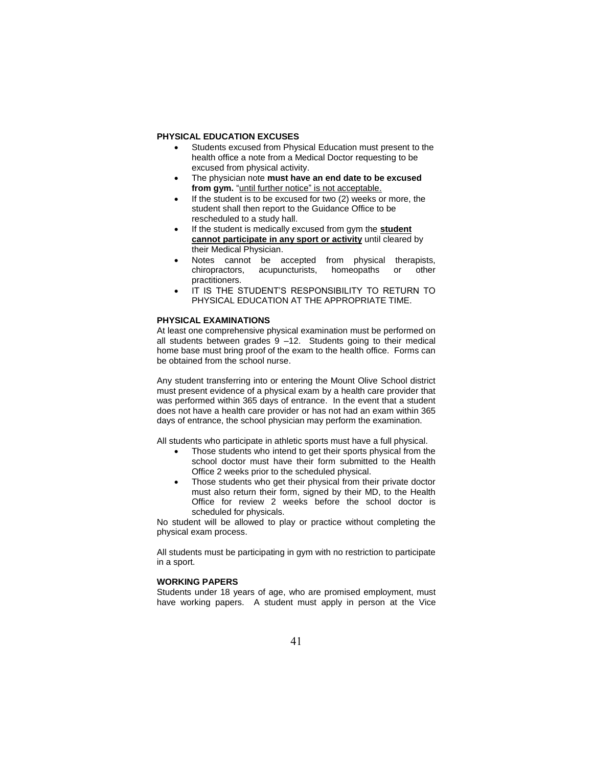### **PHYSICAL EDUCATION EXCUSES**

- Students excused from Physical Education must present to the health office a note from a Medical Doctor requesting to be excused from physical activity.
- The physician note **must have an end date to be excused**  from gym. "until further notice" is not acceptable.
- If the student is to be excused for two (2) weeks or more, the student shall then report to the Guidance Office to be rescheduled to a study hall.
- If the student is medically excused from gym the **student cannot participate in any sport or activity** until cleared by their Medical Physician.
- Notes cannot be accepted from physical therapists, chiropractors, acupuncturists, homeopaths or other practitioners.
- IT IS THE STUDENT'S RESPONSIBILITY TO RETURN TO PHYSICAL EDUCATION AT THE APPROPRIATE TIME.

### **PHYSICAL EXAMINATIONS**

At least one comprehensive physical examination must be performed on all students between grades 9 –12. Students going to their medical home base must bring proof of the exam to the health office. Forms can be obtained from the school nurse.

Any student transferring into or entering the Mount Olive School district must present evidence of a physical exam by a health care provider that was performed within 365 days of entrance. In the event that a student does not have a health care provider or has not had an exam within 365 days of entrance, the school physician may perform the examination.

All students who participate in athletic sports must have a full physical.

- Those students who intend to get their sports physical from the school doctor must have their form submitted to the Health Office 2 weeks prior to the scheduled physical.
- Those students who get their physical from their private doctor must also return their form, signed by their MD, to the Health Office for review 2 weeks before the school doctor is scheduled for physicals.

No student will be allowed to play or practice without completing the physical exam process.

All students must be participating in gym with no restriction to participate in a sport.

### **WORKING PAPERS**

Students under 18 years of age, who are promised employment, must have working papers. A student must apply in person at the Vice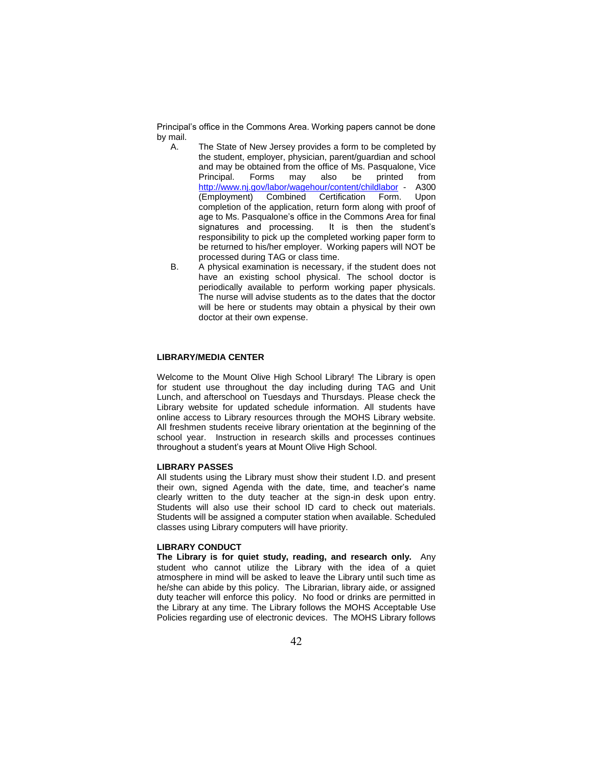Principal's office in the Commons Area. Working papers cannot be done by mail.

- A. The State of New Jersey provides a form to be completed by the student, employer, physician, parent/guardian and school and may be obtained from the office of Ms. Pasqualone, Vice Principal. Forms may also be printed from [http://www.nj.gov/labor/wagehour/content/childlabor](http://www.nj.gov/labor/wagehour/content/childlabor%20-%20%20A300) - A300 (Employment) Combined Certification Form. Upon completion of the application, return form along with proof of age to Ms. Pasqualone's office in the Commons Area for final signatures and processing. It is then the student's responsibility to pick up the completed working paper form to be returned to his/her employer. Working papers will NOT be processed during TAG or class time.
- B. A physical examination is necessary, if the student does not have an existing school physical. The school doctor is periodically available to perform working paper physicals. The nurse will advise students as to the dates that the doctor will be here or students may obtain a physical by their own doctor at their own expense.

# **LIBRARY/MEDIA CENTER**

Welcome to the Mount Olive High School Library! The Library is open for student use throughout the day including during TAG and Unit Lunch, and afterschool on Tuesdays and Thursdays. Please check the Library website for updated schedule information. All students have online access to Library resources through the MOHS Library website. All freshmen students receive library orientation at the beginning of the school year. Instruction in research skills and processes continues throughout a student's years at Mount Olive High School.

### **LIBRARY PASSES**

All students using the Library must show their student I.D. and present their own, signed Agenda with the date, time, and teacher's name clearly written to the duty teacher at the sign-in desk upon entry. Students will also use their school ID card to check out materials. Students will be assigned a computer station when available. Scheduled classes using Library computers will have priority.

#### **LIBRARY CONDUCT**

**The Library is for quiet study, reading, and research only.** Any student who cannot utilize the Library with the idea of a quiet atmosphere in mind will be asked to leave the Library until such time as he/she can abide by this policy. The Librarian, library aide, or assigned duty teacher will enforce this policy. No food or drinks are permitted in the Library at any time. The Library follows the MOHS Acceptable Use Policies regarding use of electronic devices. The MOHS Library follows